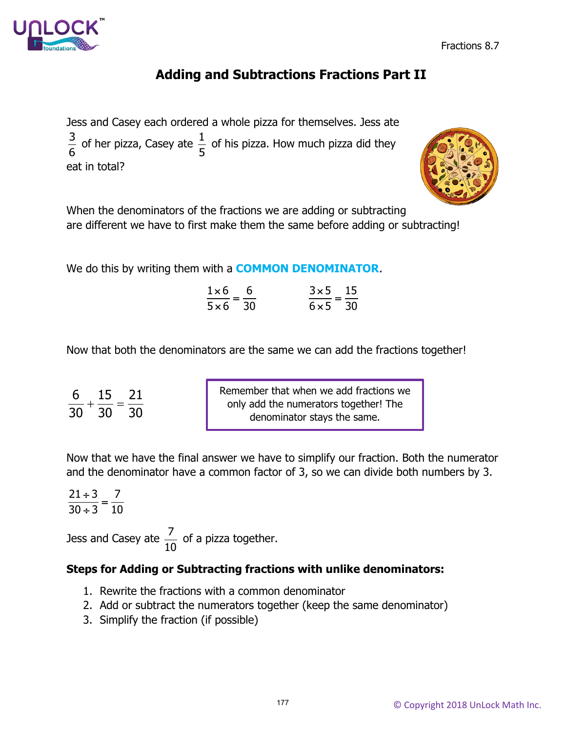

Fractions 8.7

# **Adding and Subtractions Fractions Part II**

Jess and Casey each ordered a whole pizza for themselves. Jess ate  $\frac{3}{6}$  of her pizza, Casey ate  $\frac{1}{5}$  of his pizza. How much pizza did they eat in total?



When the denominators of the fractions we are adding or subtracting are different we have to first make them the same before adding or subtracting!

We do this by writing them with a **COMMON DENOMINATOR**.

| $1\times6$ 6<br>——— | $3\times 5$ 15  |  |
|---------------------|-----------------|--|
| $5 \times 6$ 30     | $6 \times 5$ 30 |  |

Now that both the denominators are the same we can add the fractions together!

| 6 15 |     | 21  |
|------|-----|-----|
| 30   | -30 | -30 |

Remember that when we add fractions we only add the numerators together! The denominator stays the same.

Now that we have the final answer we have to simplify our fraction. Both the numerator and the denominator have a common factor of 3, so we can divide both numbers by 3.

21  $\div$  3  $\_$  7  $\frac{21 \div 3}{30 \div 3} = \frac{7}{10}$ 

Jess and Casey ate  $\frac{7}{16}$ 10 of a pizza together.

#### **Steps for Adding or Subtracting fractions with unlike denominators:**

- 1. Rewrite the fractions with a common denominator
- 2. Add or subtract the numerators together (keep the same denominator)
- 3. Simplify the fraction (if possible)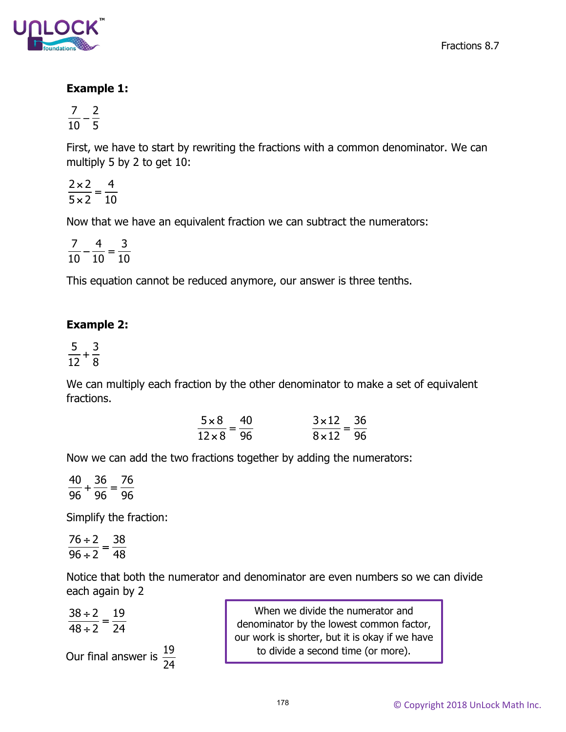



## **Example 1:**

 $\frac{7}{10} - \frac{2}{5}$ 

First, we have to start by rewriting the fractions with a common denominator. We can multiply 5 by 2 to get 10:

2×2 \_ 4  $\frac{2\times2}{5\times2}=\frac{4}{10}$ 

Now that we have an equivalent fraction we can subtract the numerators:

 $\frac{7}{10} - \frac{4}{10} = \frac{3}{10}$ 

This equation cannot be reduced anymore, our answer is three tenths.

#### **Example 2:**

$$
\frac{5}{12}+\frac{3}{8}
$$

We can multiply each fraction by the other denominator to make a set of equivalent fractions.

| $5 \times 8$ 40 | $3 \times 12$ 36 |  |
|-----------------|------------------|--|
| $12\times8$ 96  | $8 \times 12$ 96 |  |

Now we can add the two fractions together by adding the numerators:

 $\frac{40}{96} + \frac{36}{96} = \frac{76}{96}$ 

Simplify the fraction:

 $\frac{76 \div 2}{96 \div 2} = \frac{38}{48}$ 

Notice that both the numerator and denominator are even numbers so we can divide each again by 2

 $\frac{38 \div 2}{48 \div 2} = \frac{19}{24}$ 48÷2 24 Our final answer is  $\frac{19}{24}$ 24 When we divide the numerator and denominator by the lowest common factor, our work is shorter, but it is okay if we have to divide a second time (or more).